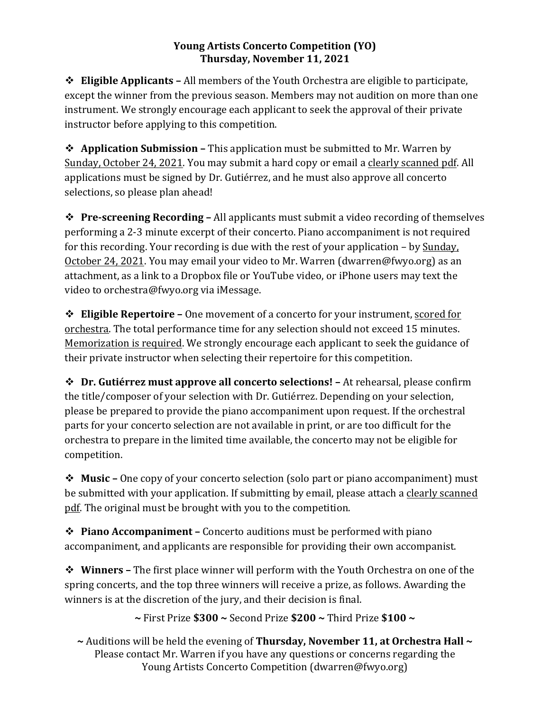## **Young Artists Concerto Competition (YO)** Thursday, November 11, 2021

 $\div$  **<b>Eligible Applicants** – All members of the Youth Orchestra are eligible to participate, except the winner from the previous season. Members may not audition on more than one instrument. We strongly encourage each applicant to seek the approval of their private instructor before applying to this competition.

**→ Application Submission –** This application must be submitted to Mr. Warren by Sunday, October 24, 2021. You may submit a hard copy or email a clearly scanned pdf. All applications must be signed by Dr. Gutiérrez, and he must also approve all concerto selections, so please plan ahead!

**→ Pre-screening Recording –** All applicants must submit a video recording of themselves performing a 2-3 minute excerpt of their concerto. Piano accompaniment is not required for this recording. Your recording is due with the rest of your application  $-$  by Sunday, October 24, 2021. You may email your video to Mr. Warren (dwarren@fwyo.org) as an attachment, as a link to a Dropbox file or YouTube video, or iPhone users may text the video to orchestra@fwyo.org via iMessage.

 **❖** Eligible Repertoire – One movement of a concerto for your instrument, scored for orchestra. The total performance time for any selection should not exceed 15 minutes. Memorization is required. We strongly encourage each applicant to seek the guidance of their private instructor when selecting their repertoire for this competition.

 $\diamond$  **Dr. Gutiérrez must approve all concerto selections!** – At rehearsal, please confirm the title/composer of your selection with Dr. Gutiérrez. Depending on your selection, please be prepared to provide the piano accompaniment upon request. If the orchestral parts for your concerto selection are not available in print, or are too difficult for the orchestra to prepare in the limited time available, the concerto may not be eligible for competition.

**→ Music** – One copy of your concerto selection (solo part or piano accompaniment) must be submitted with your application. If submitting by email, please attach a clearly scanned pdf. The original must be brought with you to the competition.

**→ Piano Accompaniment** – Concerto auditions must be performed with piano accompaniment, and applicants are responsible for providing their own accompanist.

 $\diamond$  **Winners** – The first place winner will perform with the Youth Orchestra on one of the spring concerts, and the top three winners will receive a prize, as follows. Awarding the winners is at the discretion of the jury, and their decision is final.

**~** First Prize **\$300 ~** Second Prize **\$200 ~** Third Prize **\$100 ~**

~ Auditions will be held the evening of **Thursday, November 11, at Orchestra Hall** ~ Please contact Mr. Warren if you have any questions or concerns regarding the Young Artists Concerto Competition (dwarren@fwyo.org)